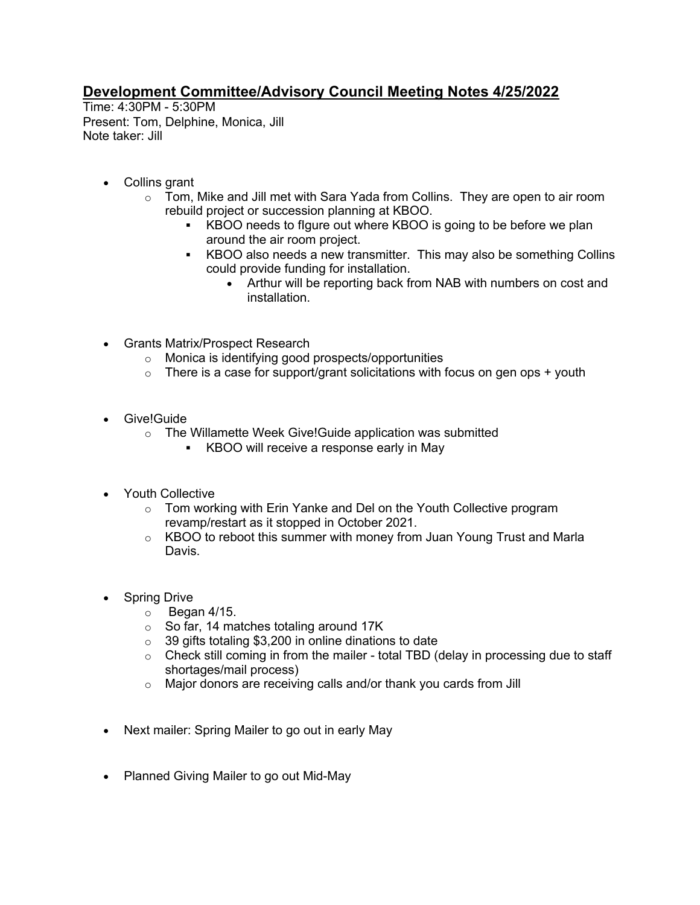## **Development Committee/Advisory Council Meeting Notes 4/25/2022**

Time: 4:30PM - 5:30PM Present: Tom, Delphine, Monica, Jill Note taker: Jill

- Collins grant
	- $\circ$  Tom, Mike and Jill met with Sara Yada from Collins. They are open to air room rebuild project or succession planning at KBOO.
		- KBOO needs to figure out where KBOO is going to be before we plan around the air room project.
		- KBOO also needs a new transmitter. This may also be something Collins could provide funding for installation.
			- Arthur will be reporting back from NAB with numbers on cost and installation.
- Grants Matrix/Prospect Research
	- o Monica is identifying good prospects/opportunities
	- $\circ$  There is a case for support/grant solicitations with focus on gen ops + youth
- Give!Guide
	- o The Willamette Week Give!Guide application was submitted
		- KBOO will receive a response early in May
- Youth Collective
	- o Tom working with Erin Yanke and Del on the Youth Collective program revamp/restart as it stopped in October 2021.
	- o KBOO to reboot this summer with money from Juan Young Trust and Marla Davis.
- Spring Drive
	- $\circ$  Began 4/15.
	- o So far, 14 matches totaling around 17K
	- o 39 gifts totaling \$3,200 in online dinations to date
	- $\circ$  Check still coming in from the mailer total TBD (delay in processing due to staff shortages/mail process)
	- o Major donors are receiving calls and/or thank you cards from Jill
- Next mailer: Spring Mailer to go out in early May
- Planned Giving Mailer to go out Mid-May